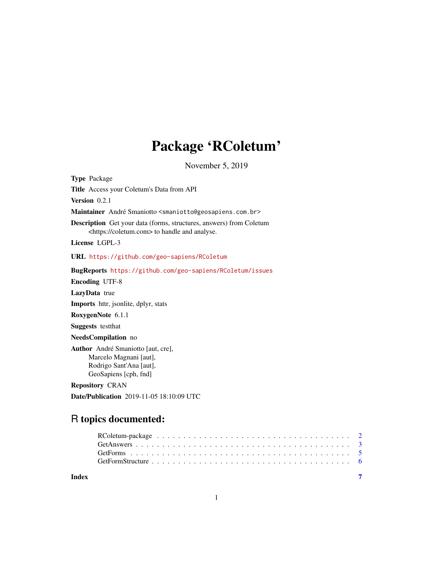## Package 'RColetum'

November 5, 2019

Type Package Title Access your Coletum's Data from API Version 0.2.1 Maintainer André Smaniotto <smaniotto@geosapiens.com.br> Description Get your data (forms, structures, answers) from Coletum <https://coletum.com> to handle and analyse. License LGPL-3 URL <https://github.com/geo-sapiens/RColetum> BugReports <https://github.com/geo-sapiens/RColetum/issues> Encoding UTF-8 LazyData true Imports httr, jsonlite, dplyr, stats RoxygenNote 6.1.1 Suggests testthat NeedsCompilation no Author André Smaniotto [aut, cre], Marcelo Magnani [aut], Rodrigo Sant'Ana [aut], GeoSapiens [cph, fnd] Repository CRAN

Date/Publication 2019-11-05 18:10:09 UTC

### R topics documented:

| Index |  |
|-------|--|

1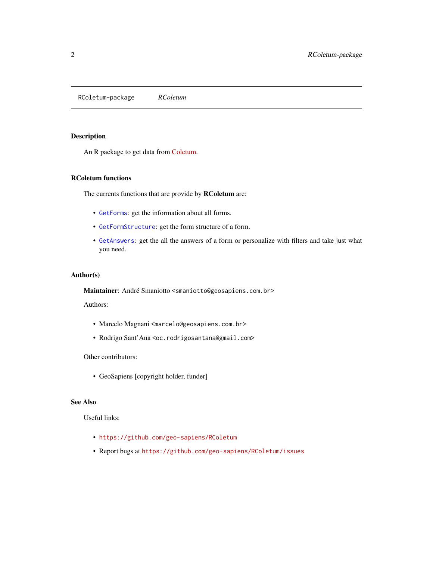<span id="page-1-0"></span>RColetum-package *RColetum*

#### Description

An R package to get data from [Coletum.](https://coletum.com)

#### RColetum functions

The currents functions that are provide by **RColetum** are:

- [GetForms](#page-4-1): get the information about all forms.
- [GetFormStructure](#page-5-1): get the form structure of a form.
- [GetAnswers](#page-2-1): get the all the answers of a form or personalize with filters and take just what you need.

#### Author(s)

Maintainer: André Smaniotto <smaniotto@geosapiens.com.br>

Authors:

- Marcelo Magnani <marcelo@geosapiens.com.br>
- Rodrigo Sant'Ana <oc.rodrigosantana@gmail.com>

Other contributors:

• GeoSapiens [copyright holder, funder]

#### See Also

Useful links:

- <https://github.com/geo-sapiens/RColetum>
- Report bugs at <https://github.com/geo-sapiens/RColetum/issues>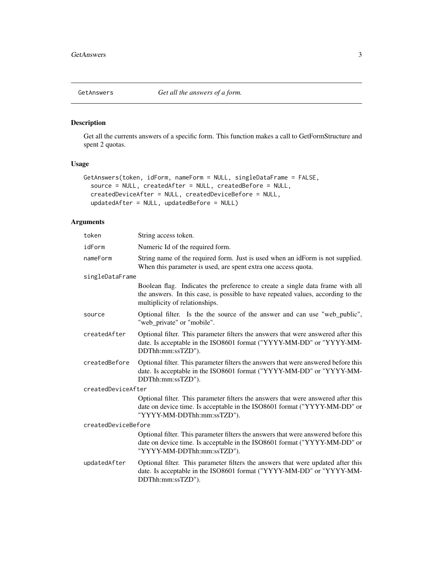<span id="page-2-1"></span><span id="page-2-0"></span>

#### Description

Get all the currents answers of a specific form. This function makes a call to GetFormStructure and spent 2 quotas.

#### Usage

```
GetAnswers(token, idForm, nameForm = NULL, singleDataFrame = FALSE,
  source = NULL, createdAfter = NULL, createdBefore = NULL,
 createdDeviceAfter = NULL, createdDeviceBefore = NULL,
 updatedAfter = NULL, updatedBefore = NULL)
```
#### Arguments

| token               | String access token.                                                                                                                                                                                |
|---------------------|-----------------------------------------------------------------------------------------------------------------------------------------------------------------------------------------------------|
| idForm              | Numeric Id of the required form.                                                                                                                                                                    |
| nameForm            | String name of the required form. Just is used when an idForm is not supplied.<br>When this parameter is used, are spent extra one access quota.                                                    |
| singleDataFrame     |                                                                                                                                                                                                     |
|                     | Boolean flag. Indicates the preference to create a single data frame with all<br>the answers. In this case, is possible to have repeated values, according to the<br>multiplicity of relationships. |
| source              | Optional filter. Is the the source of the answer and can use "web_public",<br>"web_private" or "mobile".                                                                                            |
| createdAfter        | Optional filter. This parameter filters the answers that were answered after this<br>date. Is acceptable in the ISO8601 format ("YYYY-MM-DD" or "YYYY-MM-<br>DDThh:mm:ssTZD").                      |
| createdBefore       | Optional filter. This parameter filters the answers that were answered before this<br>date. Is acceptable in the ISO8601 format ("YYYY-MM-DD" or "YYYY-MM-<br>DDThh:mm:ssTZD").                     |
| createdDeviceAfter  |                                                                                                                                                                                                     |
|                     | Optional filter. This parameter filters the answers that were answered after this<br>date on device time. Is acceptable in the ISO8601 format ("YYYY-MM-DD" or<br>"YYYY-MM-DDThh:mm:ssTZD").        |
| createdDeviceBefore |                                                                                                                                                                                                     |
|                     | Optional filter. This parameter filters the answers that were answered before this<br>date on device time. Is acceptable in the ISO8601 format ("YYYY-MM-DD" or<br>"YYYY-MM-DDThh:mm:ssTZD").       |
| updatedAfter        | Optional filter. This parameter filters the answers that were updated after this<br>date. Is acceptable in the ISO8601 format ("YYYY-MM-DD" or "YYYY-MM-<br>DDThh:mm:ssTZD").                       |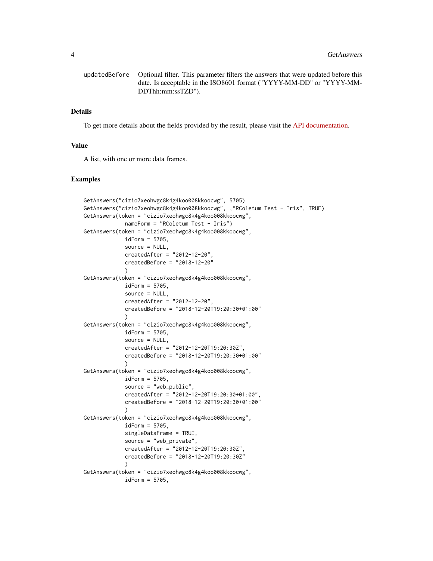```
updatedBefore Optional filter. This parameter filters the answers that were updated before this
                 date. Is acceptable in the ISO8601 format ("YYYY-MM-DD" or "YYYY-MM-
                 DDThh:mm:ssTZD").
```
#### Details

To get more details about the fields provided by the result, please visit the [API documentation.](https://coletum.docs.apiary.io/#reference/0/preenchimentos/listar-preenchimentos)

#### Value

A list, with one or more data frames.

#### Examples

```
GetAnswers("cizio7xeohwgc8k4g4koo008kkoocwg", 5705)
GetAnswers("cizio7xeohwgc8k4g4koo008kkoocwg", ,"RColetum Test - Iris", TRUE)
GetAnswers(token = "cizio7xeohwgc8k4g4koo008kkoocwg",
             nameForm = "RColetum Test - Iris")
GetAnswers(token = "cizio7xeohwgc8k4g4koo008kkoocwg",
             idForm = 5705,
             source = NULL,
             createdAfter = "2012-12-20",
             createdBefore = "2018-12-20"
             )
GetAnswers(token = "cizio7xeohwgc8k4g4koo008kkoocwg",
             idForm = 5705,
             source = NULL,
             createdAfter = "2012-12-20",
             createdBefore = "2018-12-20T19:20:30+01:00"
             \lambdaGetAnswers(token = "cizio7xeohwgc8k4g4koo008kkoocwg",
             idForm = 5705,
             source = NULL,
             createdAfter = "2012-12-20T19:20:30Z",
             createdBefore = "2018-12-20T19:20:30+01:00"
             \lambdaGetAnswers(token = "cizio7xeohwgc8k4g4koo008kkoocwg",
             idForm = 5705,
             source = "web_public",
             createdAfter = "2012-12-20T19:20:30+01:00",
             createdBefore = "2018-12-20T19:20:30+01:00"
             )
GetAnswers(token = "cizio7xeohwgc8k4g4koo008kkoocwg",
             idForm = 5705,
             singleDataFrame = TRUE,
             source = "web_private",
             createdAfter = "2012-12-20T19:20:30Z",
             createdBefore = "2018-12-20T19:20:30Z"
             )
GetAnswers(token = "cizio7xeohwgc8k4g4koo008kkoocwg",
             idForm = 5705,
```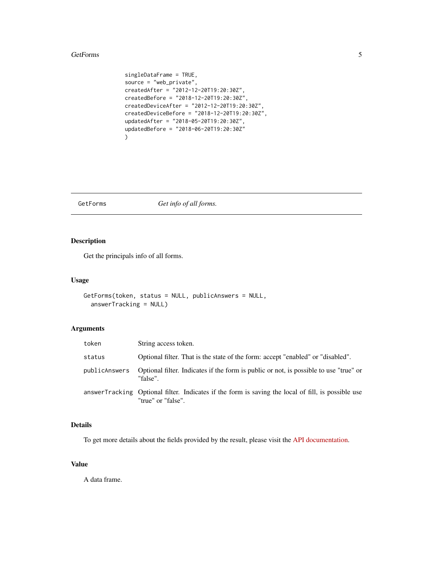#### <span id="page-4-0"></span>GetForms 5

```
singleDataFrame = TRUE,
source = "web_private",
createdAfter = "2012-12-20T19:20:30Z",
createdBefore = "2018-12-20T19:20:30Z",
createdDeviceAfter = "2012-12-20T19:20:30Z",
createdDeviceBefore = "2018-12-20T19:20:30Z",
updatedAfter = "2018-05-20T19:20:30Z",
updatedBefore = "2018-06-20T19:20:30Z"
)
```
<span id="page-4-1"></span>GetForms *Get info of all forms.*

#### Description

Get the principals info of all forms.

#### Usage

```
GetForms(token, status = NULL, publicAnswers = NULL,
  answerTracking = NULL)
```
#### Arguments

| token         | String access token.                                                                                                     |
|---------------|--------------------------------------------------------------------------------------------------------------------------|
| status        | Optional filter. That is the state of the form: accept "enabled" or "disabled".                                          |
| publicAnswers | Optional filter. Indicates if the form is public or not, is possible to use "true" or<br>"false".                        |
|               | answerTracking Optional filter. Indicates if the form is saving the local of fill, is possible use<br>"true" or "false". |

#### Details

To get more details about the fields provided by the result, please visit the [API documentation.](https://coletum.docs.apiary.io/#reference/0/formularios/listar-formularios)

#### Value

A data frame.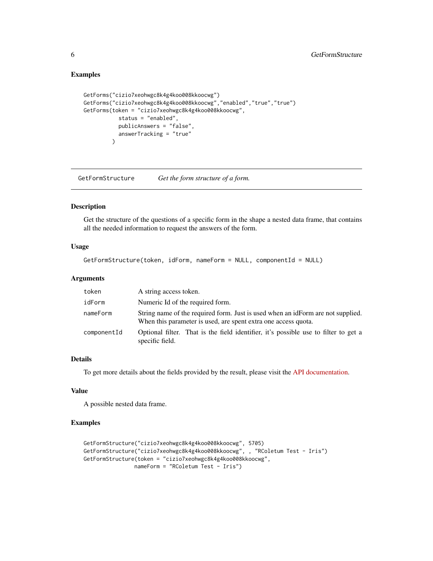#### Examples

```
GetForms("cizio7xeohwgc8k4g4koo008kkoocwg")
GetForms("cizio7xeohwgc8k4g4koo008kkoocwg","enabled","true","true")
GetForms(token = "cizio7xeohwgc8k4g4koo008kkoocwg",
           status = "enabled",
           publicAnswers = "false",
           answerTracking = "true"
         \lambda
```
<span id="page-5-1"></span>GetFormStructure *Get the form structure of a form.*

#### Description

Get the structure of the questions of a specific form in the shape a nested data frame, that contains all the needed information to request the answers of the form.

#### Usage

```
GetFormStructure(token, idForm, nameForm = NULL, componentId = NULL)
```
#### Arguments

| token       | A string access token.                                                                                                                            |
|-------------|---------------------------------------------------------------------------------------------------------------------------------------------------|
| idForm      | Numeric Id of the required form.                                                                                                                  |
| nameForm    | String name of the required form. Just is used when an idForm are not supplied.<br>When this parameter is used, are spent extra one access quota. |
| componentId | Optional filter. That is the field identifier, it's possible use to filter to get a<br>specific field.                                            |

#### Details

To get more details about the fields provided by the result, please visit the [API documentation.](https://coletum.docs.apiary.io/#reference/0/formularios/definicao-de-formulario)

#### Value

A possible nested data frame.

#### Examples

```
GetFormStructure("cizio7xeohwgc8k4g4koo008kkoocwg", 5705)
GetFormStructure("cizio7xeohwgc8k4g4koo008kkoocwg", , "RColetum Test - Iris")
GetFormStructure(token = "cizio7xeohwgc8k4g4koo008kkoocwg",
               nameForm = "RColetum Test - Iris")
```
<span id="page-5-0"></span>